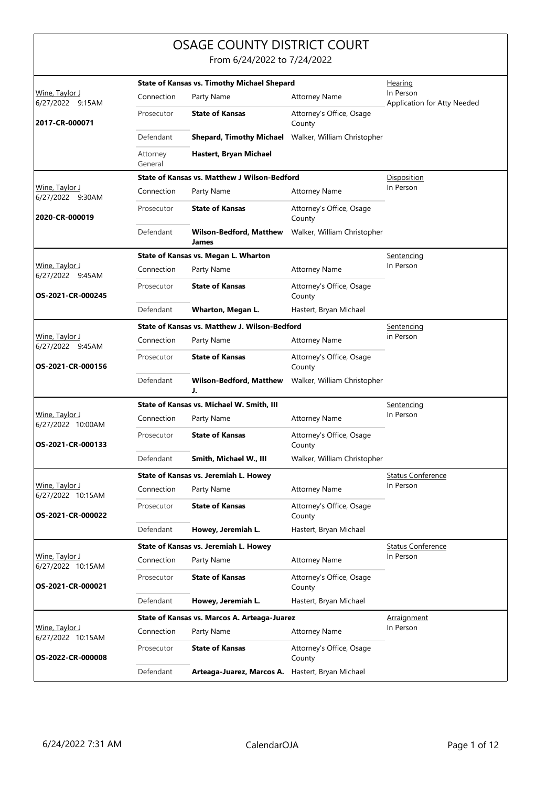## OSAGE COUNTY DISTRICT COURT

From 6/24/2022 to 7/24/2022

|                                     |                     | <b>State of Kansas vs. Timothy Michael Shepard</b> |                                    | <u>Hearing</u>                           |
|-------------------------------------|---------------------|----------------------------------------------------|------------------------------------|------------------------------------------|
| Wine, Taylor J<br>6/27/2022 9:15AM  | Connection          | Party Name                                         | <b>Attorney Name</b>               | In Person<br>Application for Atty Needed |
| 2017-CR-000071                      | Prosecutor          | <b>State of Kansas</b>                             | Attorney's Office, Osage<br>County |                                          |
|                                     | Defendant           | <b>Shepard, Timothy Michael</b>                    | Walker, William Christopher        |                                          |
|                                     | Attorney<br>General | Hastert, Bryan Michael                             |                                    |                                          |
|                                     |                     | State of Kansas vs. Matthew J Wilson-Bedford       |                                    | <b>Disposition</b>                       |
| Wine, Taylor J<br>6/27/2022 9:30AM  | Connection          | Party Name                                         | <b>Attorney Name</b>               | In Person                                |
| 2020-CR-000019                      | Prosecutor          | <b>State of Kansas</b>                             | Attorney's Office, Osage<br>County |                                          |
|                                     | Defendant           | <b>Wilson-Bedford, Matthew</b><br>James            | Walker, William Christopher        |                                          |
|                                     |                     | State of Kansas vs. Megan L. Wharton               |                                    | <u>Sentencing</u>                        |
| Wine, Taylor J<br>6/27/2022 9:45AM  | Connection          | Party Name                                         | <b>Attorney Name</b>               | In Person                                |
| OS-2021-CR-000245                   | Prosecutor          | <b>State of Kansas</b>                             | Attorney's Office, Osage<br>County |                                          |
|                                     | Defendant           | Wharton, Megan L.                                  | Hastert, Bryan Michael             |                                          |
|                                     |                     | State of Kansas vs. Matthew J. Wilson-Bedford      |                                    | Sentencing                               |
| Wine, Taylor J<br>6/27/2022 9:45AM  | Connection          | Party Name                                         | <b>Attorney Name</b>               | in Person                                |
| OS-2021-CR-000156                   | Prosecutor          | <b>State of Kansas</b>                             | Attorney's Office, Osage<br>County |                                          |
|                                     | Defendant           | <b>Wilson-Bedford, Matthew</b><br>J.               | Walker, William Christopher        |                                          |
|                                     |                     | State of Kansas vs. Michael W. Smith, III          |                                    | Sentencing                               |
| Wine, Taylor J<br>6/27/2022 10:00AM | Connection          | Party Name                                         | <b>Attorney Name</b>               | In Person                                |
| OS-2021-CR-000133                   | Prosecutor          | <b>State of Kansas</b>                             | Attorney's Office, Osage<br>County |                                          |
|                                     | Defendant           | Smith, Michael W., III                             | Walker, William Christopher        |                                          |
|                                     |                     | State of Kansas vs. Jeremiah L. Howey              |                                    | <b>Status Conference</b>                 |
| Wine, Taylor J<br>6/27/2022 10:15AM | Connection          | Party Name                                         | <b>Attorney Name</b>               | In Person                                |
| OS-2021-CR-000022                   | Prosecutor          | <b>State of Kansas</b>                             | Attorney's Office, Osage<br>County |                                          |
|                                     | Defendant           | Howey, Jeremiah L.                                 | Hastert, Bryan Michael             |                                          |
|                                     |                     | State of Kansas vs. Jeremiah L. Howey              |                                    | <u>Status Conference</u>                 |
| Wine, Taylor J<br>6/27/2022 10:15AM | Connection          | Party Name                                         | <b>Attorney Name</b>               | In Person                                |
| OS-2021-CR-000021                   | Prosecutor          | <b>State of Kansas</b>                             | Attorney's Office, Osage<br>County |                                          |
|                                     | Defendant           | Howey, Jeremiah L.                                 | Hastert, Bryan Michael             |                                          |
|                                     |                     | State of Kansas vs. Marcos A. Arteaga-Juarez       |                                    | <b>Arraignment</b>                       |
| Wine, Taylor J<br>6/27/2022 10:15AM | Connection          | Party Name                                         | <b>Attorney Name</b>               | In Person                                |
| OS-2022-CR-000008                   | Prosecutor          | <b>State of Kansas</b>                             | Attorney's Office, Osage<br>County |                                          |
|                                     | Defendant           | Arteaga-Juarez, Marcos A.                          | Hastert, Bryan Michael             |                                          |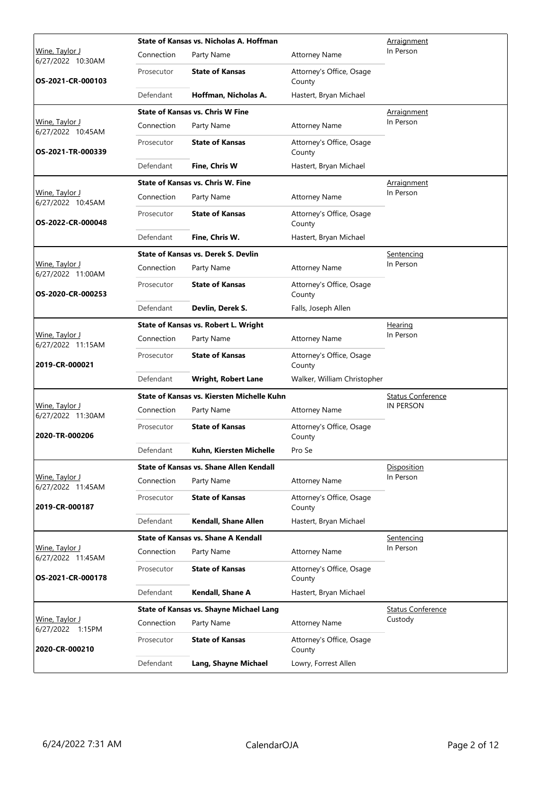|                                     |            | State of Kansas vs. Nicholas A. Hoffman        | Arraignment                        |                          |
|-------------------------------------|------------|------------------------------------------------|------------------------------------|--------------------------|
| Wine, Taylor J<br>6/27/2022 10:30AM | Connection | Party Name                                     | <b>Attorney Name</b>               | In Person                |
| OS-2021-CR-000103                   | Prosecutor | <b>State of Kansas</b>                         | Attorney's Office, Osage<br>County |                          |
|                                     | Defendant  | Hoffman, Nicholas A.                           | Hastert, Bryan Michael             |                          |
|                                     |            | <b>State of Kansas vs. Chris W Fine</b>        |                                    | Arraignment              |
| Wine, Taylor J<br>6/27/2022 10:45AM | Connection | Party Name                                     | <b>Attorney Name</b>               | In Person                |
| OS-2021-TR-000339                   | Prosecutor | <b>State of Kansas</b>                         | Attorney's Office, Osage<br>County |                          |
|                                     | Defendant  | Fine, Chris W                                  | Hastert, Bryan Michael             |                          |
|                                     |            | <b>State of Kansas vs. Chris W. Fine</b>       |                                    | <b>Arraignment</b>       |
| Wine, Taylor J<br>6/27/2022 10:45AM | Connection | Party Name                                     | <b>Attorney Name</b>               | In Person                |
| OS-2022-CR-000048                   | Prosecutor | <b>State of Kansas</b>                         | Attorney's Office, Osage<br>County |                          |
|                                     | Defendant  | Fine, Chris W.                                 | Hastert, Bryan Michael             |                          |
|                                     |            | State of Kansas vs. Derek S. Devlin            |                                    | Sentencing               |
| Wine, Taylor J<br>6/27/2022 11:00AM | Connection | Party Name                                     | <b>Attorney Name</b>               | In Person                |
| OS-2020-CR-000253                   | Prosecutor | <b>State of Kansas</b>                         | Attorney's Office, Osage<br>County |                          |
|                                     | Defendant  | Devlin, Derek S.                               | Falls, Joseph Allen                |                          |
|                                     |            | State of Kansas vs. Robert L. Wright           |                                    | <b>Hearing</b>           |
| Wine, Taylor J<br>6/27/2022 11:15AM | Connection | Party Name                                     | <b>Attorney Name</b>               | In Person                |
| 2019-CR-000021                      | Prosecutor | <b>State of Kansas</b>                         | Attorney's Office, Osage<br>County |                          |
|                                     | Defendant  | <b>Wright, Robert Lane</b>                     | Walker, William Christopher        |                          |
|                                     |            | State of Kansas vs. Kiersten Michelle Kuhn     |                                    | <b>Status Conference</b> |
| Wine, Taylor J<br>6/27/2022 11:30AM | Connection | Party Name                                     | <b>Attorney Name</b>               | <b>IN PERSON</b>         |
| 2020-TR-000206                      | Prosecutor | <b>State of Kansas</b>                         | Attorney's Office, Osage<br>County |                          |
|                                     | Defendant  | Kuhn, Kiersten Michelle                        | Pro Se                             |                          |
|                                     |            | State of Kansas vs. Shane Allen Kendall        |                                    | Disposition              |
| Wine, Taylor J<br>6/27/2022 11:45AM | Connection | Party Name                                     | <b>Attorney Name</b>               | In Person                |
| 2019-CR-000187                      | Prosecutor | <b>State of Kansas</b>                         | Attorney's Office, Osage<br>County |                          |
|                                     | Defendant  | Kendall, Shane Allen                           | Hastert, Bryan Michael             |                          |
|                                     |            | State of Kansas vs. Shane A Kendall            |                                    | Sentencing               |
| Wine, Taylor J<br>6/27/2022 11:45AM | Connection | Party Name                                     | <b>Attorney Name</b>               | In Person                |
| OS-2021-CR-000178                   | Prosecutor | <b>State of Kansas</b>                         | Attorney's Office, Osage<br>County |                          |
|                                     | Defendant  | Kendall, Shane A                               | Hastert, Bryan Michael             |                          |
|                                     |            | <b>State of Kansas vs. Shayne Michael Lang</b> |                                    | <b>Status Conference</b> |
| Wine, Taylor J<br>6/27/2022 1:15PM  | Connection | Party Name                                     | <b>Attorney Name</b>               | Custody                  |
| 2020-CR-000210                      | Prosecutor | <b>State of Kansas</b>                         | Attorney's Office, Osage<br>County |                          |
|                                     | Defendant  | Lang, Shayne Michael                           | Lowry, Forrest Allen               |                          |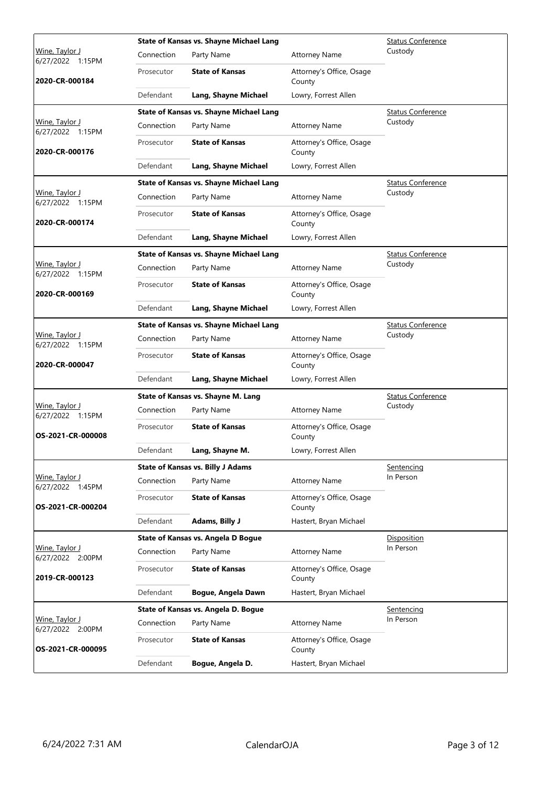|                                            |            | <b>State of Kansas vs. Shayne Michael Lang</b> | <b>Status Conference</b>           |                          |
|--------------------------------------------|------------|------------------------------------------------|------------------------------------|--------------------------|
| <u>Wine, Taylor J</u><br>6/27/2022 1:15PM  | Connection | Party Name                                     | <b>Attorney Name</b>               | Custody                  |
| 2020-CR-000184                             | Prosecutor | <b>State of Kansas</b>                         | Attorney's Office, Osage<br>County |                          |
|                                            | Defendant  | Lang, Shayne Michael                           | Lowry, Forrest Allen               |                          |
|                                            |            | <b>State of Kansas vs. Shayne Michael Lang</b> |                                    | <b>Status Conference</b> |
| Wine, Taylor J<br>6/27/2022 1:15PM         | Connection | Party Name                                     | <b>Attorney Name</b>               | Custody                  |
| 2020-CR-000176                             | Prosecutor | <b>State of Kansas</b>                         | Attorney's Office, Osage<br>County |                          |
|                                            | Defendant  | Lang, Shayne Michael                           | Lowry, Forrest Allen               |                          |
|                                            |            | <b>State of Kansas vs. Shayne Michael Lang</b> |                                    | <b>Status Conference</b> |
| Wine, Taylor J<br>6/27/2022 1:15PM         | Connection | Party Name                                     | <b>Attorney Name</b>               | Custody                  |
| 2020-CR-000174                             | Prosecutor | <b>State of Kansas</b>                         | Attorney's Office, Osage<br>County |                          |
|                                            | Defendant  | Lang, Shayne Michael                           | Lowry, Forrest Allen               |                          |
|                                            |            | <b>State of Kansas vs. Shayne Michael Lang</b> |                                    | <b>Status Conference</b> |
| <u> Wine, Taylor J</u><br>6/27/2022 1:15PM | Connection | Party Name                                     | <b>Attorney Name</b>               | Custody                  |
| 2020-CR-000169                             | Prosecutor | <b>State of Kansas</b>                         | Attorney's Office, Osage<br>County |                          |
|                                            | Defendant  | Lang, Shayne Michael                           | Lowry, Forrest Allen               |                          |
|                                            |            | <b>State of Kansas vs. Shayne Michael Lang</b> |                                    | <b>Status Conference</b> |
| Wine, Taylor J<br>6/27/2022 1:15PM         | Connection | Party Name                                     | <b>Attorney Name</b>               | Custody                  |
| 2020-CR-000047                             | Prosecutor | <b>State of Kansas</b>                         | Attorney's Office, Osage<br>County |                          |
|                                            | Defendant  | Lang, Shayne Michael                           | Lowry, Forrest Allen               |                          |
|                                            |            | State of Kansas vs. Shayne M. Lang             | <b>Status Conference</b>           |                          |
| <u> Wine, Taylor J</u><br>6/27/2022 1:15PM | Connection | Party Name                                     | <b>Attorney Name</b>               | Custody                  |
| OS-2021-CR-000008                          | Prosecutor | <b>State of Kansas</b>                         | Attorney's Office, Osage<br>County |                          |
|                                            | Defendant  | Lang, Shayne M.                                | Lowry, Forrest Allen               |                          |
|                                            |            | <b>State of Kansas vs. Billy J Adams</b>       |                                    | Sentencing               |
| <u>Wine, Taylor J</u><br>6/27/2022 1:45PM  | Connection | Party Name                                     | <b>Attorney Name</b>               | In Person                |
| OS-2021-CR-000204                          | Prosecutor | <b>State of Kansas</b>                         | Attorney's Office, Osage<br>County |                          |
|                                            | Defendant  | Adams, Billy J                                 | Hastert, Bryan Michael             |                          |
|                                            |            | State of Kansas vs. Angela D Bogue             |                                    | Disposition              |
| Wine, Taylor J<br>6/27/2022 2:00PM         | Connection | Party Name                                     | <b>Attorney Name</b>               | In Person                |
| 2019-CR-000123                             | Prosecutor | <b>State of Kansas</b>                         | Attorney's Office, Osage<br>County |                          |
|                                            | Defendant  | Bogue, Angela Dawn                             | Hastert, Bryan Michael             |                          |
|                                            |            | State of Kansas vs. Angela D. Bogue            |                                    | Sentencing               |
| Wine, Taylor J<br>6/27/2022 2:00PM         | Connection | Party Name                                     | <b>Attorney Name</b>               | In Person                |
| OS-2021-CR-000095                          | Prosecutor | <b>State of Kansas</b>                         | Attorney's Office, Osage<br>County |                          |
|                                            | Defendant  | Bogue, Angela D.                               | Hastert, Bryan Michael             |                          |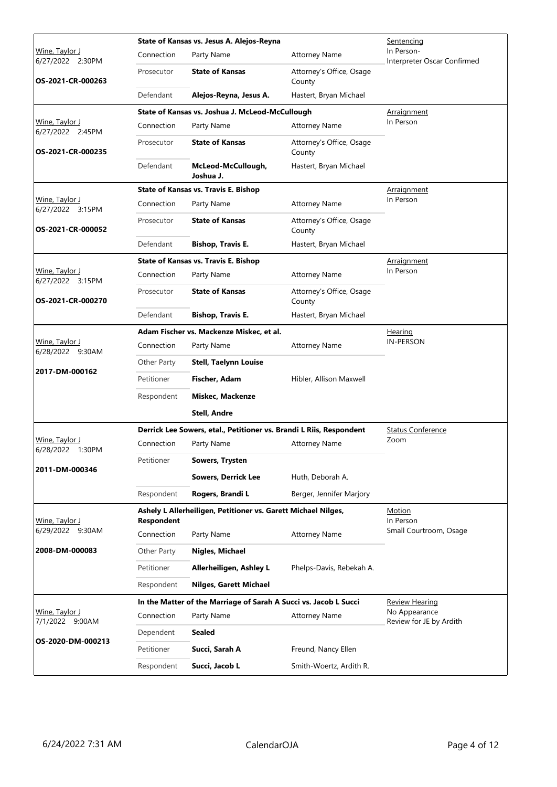|                                            |             | State of Kansas vs. Jesus A. Alejos-Reyna                           | Sentencing                         |                                           |
|--------------------------------------------|-------------|---------------------------------------------------------------------|------------------------------------|-------------------------------------------|
| <u> Wine, Taylor J</u><br>6/27/2022 2:30PM | Connection  | Party Name                                                          | <b>Attorney Name</b>               | In Person-<br>Interpreter Oscar Confirmed |
| OS-2021-CR-000263                          | Prosecutor  | <b>State of Kansas</b>                                              | Attorney's Office, Osage<br>County |                                           |
|                                            | Defendant   | Alejos-Reyna, Jesus A.                                              | Hastert, Bryan Michael             |                                           |
|                                            |             | State of Kansas vs. Joshua J. McLeod-McCullough                     |                                    | Arraignment                               |
| Wine, Taylor J<br>6/27/2022 2:45PM         | Connection  | Party Name                                                          | <b>Attorney Name</b>               | In Person                                 |
| OS-2021-CR-000235                          | Prosecutor  | <b>State of Kansas</b>                                              | Attorney's Office, Osage<br>County |                                           |
|                                            | Defendant   | McLeod-McCullough,<br>Joshua J.                                     | Hastert, Bryan Michael             |                                           |
|                                            |             | <b>State of Kansas vs. Travis E. Bishop</b>                         |                                    | Arraignment                               |
| Wine, Taylor J<br>6/27/2022 3:15PM         | Connection  | Party Name                                                          | <b>Attorney Name</b>               | In Person                                 |
| OS-2021-CR-000052                          | Prosecutor  | <b>State of Kansas</b>                                              | Attorney's Office, Osage<br>County |                                           |
|                                            | Defendant   | <b>Bishop, Travis E.</b>                                            | Hastert, Bryan Michael             |                                           |
|                                            |             | <b>State of Kansas vs. Travis E. Bishop</b>                         |                                    | <u>Arraignment</u>                        |
| Wine, Taylor J<br>6/27/2022 3:15PM         | Connection  | Party Name                                                          | <b>Attorney Name</b>               | In Person                                 |
| OS-2021-CR-000270                          | Prosecutor  | <b>State of Kansas</b>                                              | Attorney's Office, Osage<br>County |                                           |
|                                            | Defendant   | <b>Bishop, Travis E.</b>                                            | Hastert, Bryan Michael             |                                           |
|                                            |             | Adam Fischer vs. Mackenze Miskec, et al.                            | <u>Hearing</u>                     |                                           |
| Wine, Taylor J<br>6/28/2022 9:30AM         | Connection  | Party Name                                                          | <b>Attorney Name</b>               | <b>IN-PERSON</b>                          |
|                                            | Other Party | <b>Stell, Taelynn Louise</b>                                        |                                    |                                           |
| 2017-DM-000162                             | Petitioner  | Fischer, Adam                                                       | Hibler, Allison Maxwell            |                                           |
|                                            | Respondent  | Miskec, Mackenze                                                    |                                    |                                           |
|                                            |             | <b>Stell, Andre</b>                                                 |                                    |                                           |
|                                            |             | Derrick Lee Sowers, etal., Petitioner vs. Brandi L Riis, Respondent |                                    | <b>Status Conference</b>                  |
| Wine, Taylor J<br>6/28/2022 1:30PM         | Connection  | Party Name                                                          | <b>Attorney Name</b>               | Zoom                                      |
|                                            | Petitioner  | <b>Sowers, Trysten</b>                                              |                                    |                                           |
| 2011-DM-000346                             |             | <b>Sowers, Derrick Lee</b>                                          | Huth, Deborah A.                   |                                           |
|                                            | Respondent  | Rogers, Brandi L                                                    | Berger, Jennifer Marjory           |                                           |
|                                            |             | Ashely L Allerheiligen, Petitioner vs. Garett Michael Nilges,       |                                    | <b>Motion</b>                             |
| Wine, Taylor J<br>6/29/2022 9:30AM         | Respondent  |                                                                     |                                    | In Person<br>Small Courtroom, Osage       |
|                                            | Connection  | Party Name                                                          | <b>Attorney Name</b>               |                                           |
| 2008-DM-000083                             | Other Party | Nigles, Michael                                                     |                                    |                                           |
|                                            | Petitioner  | Allerheiligen, Ashley L                                             | Phelps-Davis, Rebekah A.           |                                           |
|                                            | Respondent  | <b>Nilges, Garett Michael</b>                                       |                                    |                                           |
|                                            |             | In the Matter of the Marriage of Sarah A Succi vs. Jacob L Succi    |                                    | Review Hearing                            |
| Wine, Taylor J<br>7/1/2022 9:00AM          | Connection  | Party Name                                                          | <b>Attorney Name</b>               | No Appearance<br>Review for JE by Ardith  |
| OS-2020-DM-000213                          | Dependent   | <b>Sealed</b>                                                       |                                    |                                           |
|                                            | Petitioner  | Succi, Sarah A                                                      | Freund, Nancy Ellen                |                                           |
|                                            | Respondent  | Succi, Jacob L                                                      | Smith-Woertz, Ardith R.            |                                           |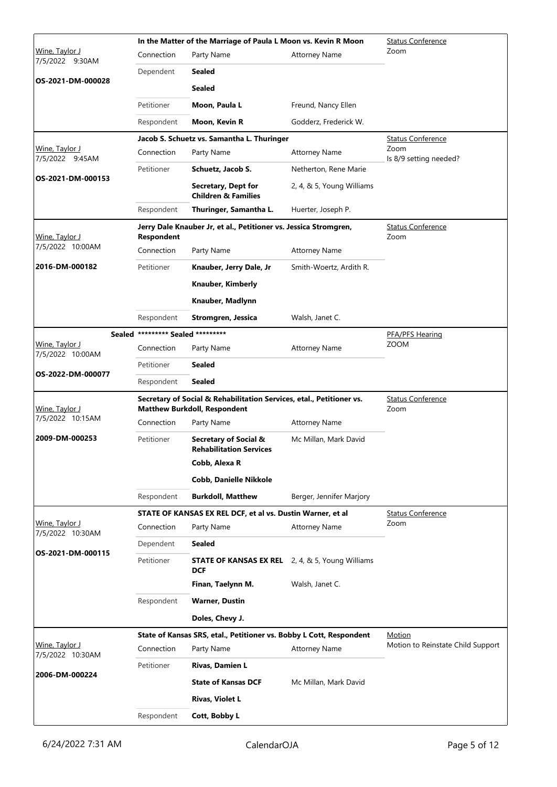|                                            |                                   | In the Matter of the Marriage of Paula L Moon vs. Kevin R Moon                                              | <b>Status Conference</b>         |                                   |
|--------------------------------------------|-----------------------------------|-------------------------------------------------------------------------------------------------------------|----------------------------------|-----------------------------------|
| Wine, Taylor J<br>7/5/2022 9:30AM          | Connection                        | Party Name                                                                                                  | <b>Attorney Name</b>             | Zoom                              |
|                                            | Dependent                         | <b>Sealed</b>                                                                                               |                                  |                                   |
| OS-2021-DM-000028                          |                                   | <b>Sealed</b>                                                                                               |                                  |                                   |
|                                            | Petitioner                        | Moon, Paula L                                                                                               | Freund, Nancy Ellen              |                                   |
|                                            | Respondent                        | Moon, Kevin R                                                                                               | Godderz, Frederick W.            |                                   |
|                                            |                                   | Jacob S. Schuetz vs. Samantha L. Thuringer                                                                  |                                  | <b>Status Conference</b>          |
| Wine, Taylor J<br>7/5/2022 9:45AM          | Connection                        | Party Name                                                                                                  | <b>Attorney Name</b>             | Zoom<br>Is 8/9 setting needed?    |
|                                            | Petitioner                        | Schuetz, Jacob S.                                                                                           | Netherton, Rene Marie            |                                   |
| OS-2021-DM-000153                          |                                   | Secretary, Dept for<br><b>Children &amp; Families</b>                                                       | 2, 4, & 5, Young Williams        |                                   |
|                                            | Respondent                        | Thuringer, Samantha L.                                                                                      | Huerter, Joseph P.               |                                   |
| Wine, Taylor J                             | <b>Respondent</b>                 | Jerry Dale Knauber Jr, et al., Petitioner vs. Jessica Stromgren,                                            |                                  | <b>Status Conference</b><br>Zoom  |
| 7/5/2022 10:00AM                           | Connection                        | Party Name                                                                                                  | <b>Attorney Name</b>             |                                   |
| 2016-DM-000182                             | Petitioner                        | Knauber, Jerry Dale, Jr                                                                                     | Smith-Woertz, Ardith R.          |                                   |
|                                            |                                   | Knauber, Kimberly                                                                                           |                                  |                                   |
|                                            |                                   | Knauber, Madlynn                                                                                            |                                  |                                   |
|                                            | Respondent                        | Stromgren, Jessica                                                                                          | Walsh, Janet C.                  |                                   |
|                                            | Sealed ********* Sealed ********* |                                                                                                             |                                  | PFA/PFS Hearing                   |
| Wine, Taylor J<br>7/5/2022 10:00AM         | Connection                        | Party Name                                                                                                  | <b>Attorney Name</b>             | <b>ZOOM</b>                       |
|                                            | Petitioner                        | <b>Sealed</b>                                                                                               |                                  |                                   |
| OS-2022-DM-000077                          | Respondent                        | <b>Sealed</b>                                                                                               |                                  |                                   |
| Wine, Taylor J                             |                                   | Secretary of Social & Rehabilitation Services, etal., Petitioner vs.<br><b>Matthew Burkdoll, Respondent</b> | <b>Status Conference</b><br>Zoom |                                   |
| 7/5/2022 10:15AM                           | Connection                        | Party Name                                                                                                  | <b>Attorney Name</b>             |                                   |
| 2009-DM-000253                             | Petitioner                        | <b>Secretary of Social &amp;</b><br><b>Rehabilitation Services</b>                                          | Mc Millan, Mark David            |                                   |
|                                            |                                   | Cobb, Alexa R                                                                                               |                                  |                                   |
|                                            |                                   | <b>Cobb, Danielle Nikkole</b>                                                                               |                                  |                                   |
|                                            | Respondent                        | <b>Burkdoll, Matthew</b>                                                                                    | Berger, Jennifer Marjory         |                                   |
|                                            |                                   | STATE OF KANSAS EX REL DCF, et al vs. Dustin Warner, et al                                                  |                                  | <b>Status Conference</b>          |
| <u> Wine, Taylor J</u><br>7/5/2022 10:30AM | Connection                        | Party Name                                                                                                  | <b>Attorney Name</b>             | Zoom                              |
|                                            | Dependent                         | <b>Sealed</b>                                                                                               |                                  |                                   |
| OS-2021-DM-000115                          | Petitioner                        | <b>STATE OF KANSAS EX REL</b> 2, 4, & 5, Young Williams<br><b>DCF</b>                                       |                                  |                                   |
|                                            |                                   | Finan, Taelynn M.                                                                                           | Walsh, Janet C.                  |                                   |
|                                            | Respondent                        | <b>Warner, Dustin</b>                                                                                       |                                  |                                   |
|                                            |                                   | Doles, Chevy J.                                                                                             |                                  |                                   |
|                                            |                                   | State of Kansas SRS, etal., Petitioner vs. Bobby L Cott, Respondent                                         |                                  | Motion                            |
| Wine, Taylor J<br>7/5/2022 10:30AM         | Connection                        | Party Name                                                                                                  | <b>Attorney Name</b>             | Motion to Reinstate Child Support |
| 2006-DM-000224                             | Petitioner                        | Rivas, Damien L                                                                                             |                                  |                                   |
|                                            |                                   | <b>State of Kansas DCF</b>                                                                                  | Mc Millan, Mark David            |                                   |
|                                            |                                   | <b>Rivas, Violet L</b>                                                                                      |                                  |                                   |
|                                            | Respondent                        | Cott, Bobby L                                                                                               |                                  |                                   |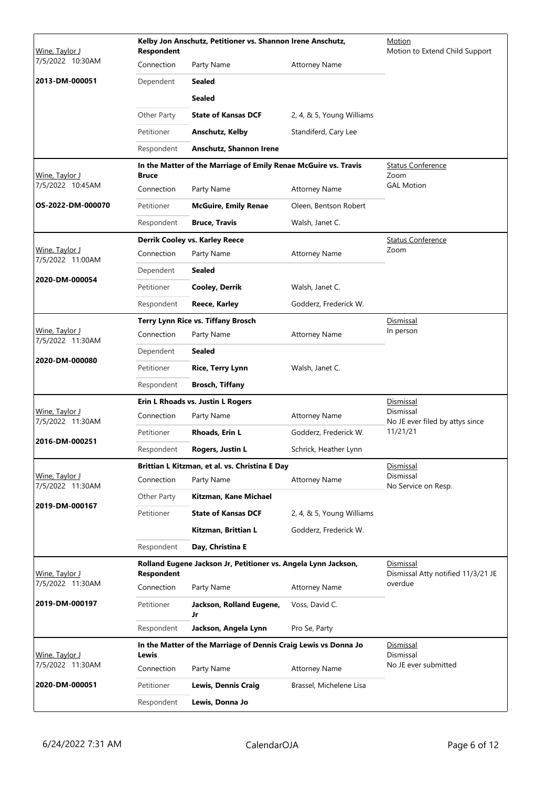| 7/5/2022 10:30AM<br>Connection<br>Party Name<br><b>Attorney Name</b><br>2013-DM-000051<br>Dependent<br><b>Sealed</b><br><b>Sealed</b><br><b>State of Kansas DCF</b><br>2, 4, & 5, Young Williams<br>Other Party<br>Petitioner<br>Standiferd, Cary Lee<br>Anschutz, Kelby<br><b>Anschutz, Shannon Irene</b><br>Respondent<br>In the Matter of the Marriage of Emily Renae McGuire vs. Travis<br><b>Status Conference</b><br>Zoom<br>Wine, Taylor J<br><b>Bruce</b><br>7/5/2022 10:45AM<br><b>GAL Motion</b><br>Connection<br>Party Name<br><b>Attorney Name</b><br>OS-2022-DM-000070<br>Petitioner<br><b>McGuire, Emily Renae</b><br>Oleen, Bentson Robert<br>Respondent<br><b>Bruce, Travis</b><br>Walsh, Janet C.<br>Derrik Cooley vs. Karley Reece<br><b>Status Conference</b><br>Wine, Taylor J<br>Zoom<br>Connection<br>Party Name<br><b>Attorney Name</b><br>7/5/2022 11:00AM<br>Dependent<br><b>Sealed</b><br>2020-DM-000054<br>Petitioner<br><b>Cooley, Derrik</b><br>Walsh, Janet C.<br>Respondent<br>Godderz, Frederick W.<br>Reece, Karley<br>Terry Lynn Rice vs. Tiffany Brosch<br>Dismissal<br>Wine, Taylor J<br>In person<br>Connection<br>Party Name<br><b>Attorney Name</b><br>7/5/2022 11:30AM<br><b>Sealed</b><br>Dependent<br>2020-DM-000080<br>Petitioner<br>Walsh, Janet C.<br><b>Rice, Terry Lynn</b><br><b>Brosch, Tiffany</b><br>Respondent<br>Erin L Rhoads vs. Justin L Rogers<br><b>Dismissal</b><br>Dismissal<br>Wine, Taylor J<br>Connection<br>Party Name<br><b>Attorney Name</b><br>7/5/2022 11:30AM<br>No JE ever filed by attys since<br>11/21/21<br>Petitioner<br>Rhoads, Erin L<br>Godderz, Frederick W.<br>2016-DM-000251<br>Respondent<br>Rogers, Justin L<br>Schrick, Heather Lynn<br>Brittian L Kitzman, et al. vs. Christina E Day<br>Dismissal<br>Dismissal<br>Wine, Taylor J<br>Connection<br>Party Name<br><b>Attorney Name</b><br>7/5/2022 11:30AM<br>No Service on Resp.<br>Other Party<br>Kitzman, Kane Michael<br>2019-DM-000167<br>Petitioner<br><b>State of Kansas DCF</b><br>2, 4, & 5, Young Williams<br>Kitzman, Brittian L<br>Godderz, Frederick W.<br>Day, Christina E<br>Respondent<br>Rolland Eugene Jackson Jr, Petitioner vs. Angela Lynn Jackson,<br>Dismissal<br>Dismissal Atty notified 11/3/21 JE<br>Wine, Taylor J<br><b>Respondent</b><br>7/5/2022 11:30AM<br>overdue<br>Connection<br>Party Name<br><b>Attorney Name</b><br>2019-DM-000197<br>Petitioner<br>Jackson, Rolland Eugene,<br>Voss, David C.<br>Jr<br>Jackson, Angela Lynn<br>Respondent<br>Pro Se, Party<br>In the Matter of the Marriage of Dennis Craig Lewis vs Donna Jo<br>Dismissal<br>Dismissal<br>Wine, Taylor J<br>Lewis<br>7/5/2022 11:30AM<br>No JE ever submitted<br>Connection<br>Party Name<br><b>Attorney Name</b><br>2020-DM-000051<br>Petitioner<br><b>Lewis, Dennis Craig</b><br>Brassel, Michelene Lisa<br>Lewis, Donna Jo<br>Respondent | Wine, Taylor J | <b>Respondent</b> | Kelby Jon Anschutz, Petitioner vs. Shannon Irene Anschutz, | Motion<br>Motion to Extend Child Support |  |
|---------------------------------------------------------------------------------------------------------------------------------------------------------------------------------------------------------------------------------------------------------------------------------------------------------------------------------------------------------------------------------------------------------------------------------------------------------------------------------------------------------------------------------------------------------------------------------------------------------------------------------------------------------------------------------------------------------------------------------------------------------------------------------------------------------------------------------------------------------------------------------------------------------------------------------------------------------------------------------------------------------------------------------------------------------------------------------------------------------------------------------------------------------------------------------------------------------------------------------------------------------------------------------------------------------------------------------------------------------------------------------------------------------------------------------------------------------------------------------------------------------------------------------------------------------------------------------------------------------------------------------------------------------------------------------------------------------------------------------------------------------------------------------------------------------------------------------------------------------------------------------------------------------------------------------------------------------------------------------------------------------------------------------------------------------------------------------------------------------------------------------------------------------------------------------------------------------------------------------------------------------------------------------------------------------------------------------------------------------------------------------------------------------------------------------------------------------------------------------------------------------------------------------------------------------------------------------------------------------------------------------------------------------------------------------------------------------------------------------------------------------------------------------------------------------------------------------------------------------------------------------------|----------------|-------------------|------------------------------------------------------------|------------------------------------------|--|
|                                                                                                                                                                                                                                                                                                                                                                                                                                                                                                                                                                                                                                                                                                                                                                                                                                                                                                                                                                                                                                                                                                                                                                                                                                                                                                                                                                                                                                                                                                                                                                                                                                                                                                                                                                                                                                                                                                                                                                                                                                                                                                                                                                                                                                                                                                                                                                                                                                                                                                                                                                                                                                                                                                                                                                                                                                                                                       |                |                   |                                                            |                                          |  |
|                                                                                                                                                                                                                                                                                                                                                                                                                                                                                                                                                                                                                                                                                                                                                                                                                                                                                                                                                                                                                                                                                                                                                                                                                                                                                                                                                                                                                                                                                                                                                                                                                                                                                                                                                                                                                                                                                                                                                                                                                                                                                                                                                                                                                                                                                                                                                                                                                                                                                                                                                                                                                                                                                                                                                                                                                                                                                       |                |                   |                                                            |                                          |  |
|                                                                                                                                                                                                                                                                                                                                                                                                                                                                                                                                                                                                                                                                                                                                                                                                                                                                                                                                                                                                                                                                                                                                                                                                                                                                                                                                                                                                                                                                                                                                                                                                                                                                                                                                                                                                                                                                                                                                                                                                                                                                                                                                                                                                                                                                                                                                                                                                                                                                                                                                                                                                                                                                                                                                                                                                                                                                                       |                |                   |                                                            |                                          |  |
|                                                                                                                                                                                                                                                                                                                                                                                                                                                                                                                                                                                                                                                                                                                                                                                                                                                                                                                                                                                                                                                                                                                                                                                                                                                                                                                                                                                                                                                                                                                                                                                                                                                                                                                                                                                                                                                                                                                                                                                                                                                                                                                                                                                                                                                                                                                                                                                                                                                                                                                                                                                                                                                                                                                                                                                                                                                                                       |                |                   |                                                            |                                          |  |
|                                                                                                                                                                                                                                                                                                                                                                                                                                                                                                                                                                                                                                                                                                                                                                                                                                                                                                                                                                                                                                                                                                                                                                                                                                                                                                                                                                                                                                                                                                                                                                                                                                                                                                                                                                                                                                                                                                                                                                                                                                                                                                                                                                                                                                                                                                                                                                                                                                                                                                                                                                                                                                                                                                                                                                                                                                                                                       |                |                   |                                                            |                                          |  |
|                                                                                                                                                                                                                                                                                                                                                                                                                                                                                                                                                                                                                                                                                                                                                                                                                                                                                                                                                                                                                                                                                                                                                                                                                                                                                                                                                                                                                                                                                                                                                                                                                                                                                                                                                                                                                                                                                                                                                                                                                                                                                                                                                                                                                                                                                                                                                                                                                                                                                                                                                                                                                                                                                                                                                                                                                                                                                       |                |                   |                                                            |                                          |  |
|                                                                                                                                                                                                                                                                                                                                                                                                                                                                                                                                                                                                                                                                                                                                                                                                                                                                                                                                                                                                                                                                                                                                                                                                                                                                                                                                                                                                                                                                                                                                                                                                                                                                                                                                                                                                                                                                                                                                                                                                                                                                                                                                                                                                                                                                                                                                                                                                                                                                                                                                                                                                                                                                                                                                                                                                                                                                                       |                |                   |                                                            |                                          |  |
|                                                                                                                                                                                                                                                                                                                                                                                                                                                                                                                                                                                                                                                                                                                                                                                                                                                                                                                                                                                                                                                                                                                                                                                                                                                                                                                                                                                                                                                                                                                                                                                                                                                                                                                                                                                                                                                                                                                                                                                                                                                                                                                                                                                                                                                                                                                                                                                                                                                                                                                                                                                                                                                                                                                                                                                                                                                                                       |                |                   |                                                            |                                          |  |
|                                                                                                                                                                                                                                                                                                                                                                                                                                                                                                                                                                                                                                                                                                                                                                                                                                                                                                                                                                                                                                                                                                                                                                                                                                                                                                                                                                                                                                                                                                                                                                                                                                                                                                                                                                                                                                                                                                                                                                                                                                                                                                                                                                                                                                                                                                                                                                                                                                                                                                                                                                                                                                                                                                                                                                                                                                                                                       |                |                   |                                                            |                                          |  |
|                                                                                                                                                                                                                                                                                                                                                                                                                                                                                                                                                                                                                                                                                                                                                                                                                                                                                                                                                                                                                                                                                                                                                                                                                                                                                                                                                                                                                                                                                                                                                                                                                                                                                                                                                                                                                                                                                                                                                                                                                                                                                                                                                                                                                                                                                                                                                                                                                                                                                                                                                                                                                                                                                                                                                                                                                                                                                       |                |                   |                                                            |                                          |  |
|                                                                                                                                                                                                                                                                                                                                                                                                                                                                                                                                                                                                                                                                                                                                                                                                                                                                                                                                                                                                                                                                                                                                                                                                                                                                                                                                                                                                                                                                                                                                                                                                                                                                                                                                                                                                                                                                                                                                                                                                                                                                                                                                                                                                                                                                                                                                                                                                                                                                                                                                                                                                                                                                                                                                                                                                                                                                                       |                |                   |                                                            |                                          |  |
|                                                                                                                                                                                                                                                                                                                                                                                                                                                                                                                                                                                                                                                                                                                                                                                                                                                                                                                                                                                                                                                                                                                                                                                                                                                                                                                                                                                                                                                                                                                                                                                                                                                                                                                                                                                                                                                                                                                                                                                                                                                                                                                                                                                                                                                                                                                                                                                                                                                                                                                                                                                                                                                                                                                                                                                                                                                                                       |                |                   |                                                            |                                          |  |
|                                                                                                                                                                                                                                                                                                                                                                                                                                                                                                                                                                                                                                                                                                                                                                                                                                                                                                                                                                                                                                                                                                                                                                                                                                                                                                                                                                                                                                                                                                                                                                                                                                                                                                                                                                                                                                                                                                                                                                                                                                                                                                                                                                                                                                                                                                                                                                                                                                                                                                                                                                                                                                                                                                                                                                                                                                                                                       |                |                   |                                                            |                                          |  |
|                                                                                                                                                                                                                                                                                                                                                                                                                                                                                                                                                                                                                                                                                                                                                                                                                                                                                                                                                                                                                                                                                                                                                                                                                                                                                                                                                                                                                                                                                                                                                                                                                                                                                                                                                                                                                                                                                                                                                                                                                                                                                                                                                                                                                                                                                                                                                                                                                                                                                                                                                                                                                                                                                                                                                                                                                                                                                       |                |                   |                                                            |                                          |  |
|                                                                                                                                                                                                                                                                                                                                                                                                                                                                                                                                                                                                                                                                                                                                                                                                                                                                                                                                                                                                                                                                                                                                                                                                                                                                                                                                                                                                                                                                                                                                                                                                                                                                                                                                                                                                                                                                                                                                                                                                                                                                                                                                                                                                                                                                                                                                                                                                                                                                                                                                                                                                                                                                                                                                                                                                                                                                                       |                |                   |                                                            |                                          |  |
|                                                                                                                                                                                                                                                                                                                                                                                                                                                                                                                                                                                                                                                                                                                                                                                                                                                                                                                                                                                                                                                                                                                                                                                                                                                                                                                                                                                                                                                                                                                                                                                                                                                                                                                                                                                                                                                                                                                                                                                                                                                                                                                                                                                                                                                                                                                                                                                                                                                                                                                                                                                                                                                                                                                                                                                                                                                                                       |                |                   |                                                            |                                          |  |
|                                                                                                                                                                                                                                                                                                                                                                                                                                                                                                                                                                                                                                                                                                                                                                                                                                                                                                                                                                                                                                                                                                                                                                                                                                                                                                                                                                                                                                                                                                                                                                                                                                                                                                                                                                                                                                                                                                                                                                                                                                                                                                                                                                                                                                                                                                                                                                                                                                                                                                                                                                                                                                                                                                                                                                                                                                                                                       |                |                   |                                                            |                                          |  |
|                                                                                                                                                                                                                                                                                                                                                                                                                                                                                                                                                                                                                                                                                                                                                                                                                                                                                                                                                                                                                                                                                                                                                                                                                                                                                                                                                                                                                                                                                                                                                                                                                                                                                                                                                                                                                                                                                                                                                                                                                                                                                                                                                                                                                                                                                                                                                                                                                                                                                                                                                                                                                                                                                                                                                                                                                                                                                       |                |                   |                                                            |                                          |  |
|                                                                                                                                                                                                                                                                                                                                                                                                                                                                                                                                                                                                                                                                                                                                                                                                                                                                                                                                                                                                                                                                                                                                                                                                                                                                                                                                                                                                                                                                                                                                                                                                                                                                                                                                                                                                                                                                                                                                                                                                                                                                                                                                                                                                                                                                                                                                                                                                                                                                                                                                                                                                                                                                                                                                                                                                                                                                                       |                |                   |                                                            |                                          |  |
|                                                                                                                                                                                                                                                                                                                                                                                                                                                                                                                                                                                                                                                                                                                                                                                                                                                                                                                                                                                                                                                                                                                                                                                                                                                                                                                                                                                                                                                                                                                                                                                                                                                                                                                                                                                                                                                                                                                                                                                                                                                                                                                                                                                                                                                                                                                                                                                                                                                                                                                                                                                                                                                                                                                                                                                                                                                                                       |                |                   |                                                            |                                          |  |
|                                                                                                                                                                                                                                                                                                                                                                                                                                                                                                                                                                                                                                                                                                                                                                                                                                                                                                                                                                                                                                                                                                                                                                                                                                                                                                                                                                                                                                                                                                                                                                                                                                                                                                                                                                                                                                                                                                                                                                                                                                                                                                                                                                                                                                                                                                                                                                                                                                                                                                                                                                                                                                                                                                                                                                                                                                                                                       |                |                   |                                                            |                                          |  |
|                                                                                                                                                                                                                                                                                                                                                                                                                                                                                                                                                                                                                                                                                                                                                                                                                                                                                                                                                                                                                                                                                                                                                                                                                                                                                                                                                                                                                                                                                                                                                                                                                                                                                                                                                                                                                                                                                                                                                                                                                                                                                                                                                                                                                                                                                                                                                                                                                                                                                                                                                                                                                                                                                                                                                                                                                                                                                       |                |                   |                                                            |                                          |  |
|                                                                                                                                                                                                                                                                                                                                                                                                                                                                                                                                                                                                                                                                                                                                                                                                                                                                                                                                                                                                                                                                                                                                                                                                                                                                                                                                                                                                                                                                                                                                                                                                                                                                                                                                                                                                                                                                                                                                                                                                                                                                                                                                                                                                                                                                                                                                                                                                                                                                                                                                                                                                                                                                                                                                                                                                                                                                                       |                |                   |                                                            |                                          |  |
|                                                                                                                                                                                                                                                                                                                                                                                                                                                                                                                                                                                                                                                                                                                                                                                                                                                                                                                                                                                                                                                                                                                                                                                                                                                                                                                                                                                                                                                                                                                                                                                                                                                                                                                                                                                                                                                                                                                                                                                                                                                                                                                                                                                                                                                                                                                                                                                                                                                                                                                                                                                                                                                                                                                                                                                                                                                                                       |                |                   |                                                            |                                          |  |
|                                                                                                                                                                                                                                                                                                                                                                                                                                                                                                                                                                                                                                                                                                                                                                                                                                                                                                                                                                                                                                                                                                                                                                                                                                                                                                                                                                                                                                                                                                                                                                                                                                                                                                                                                                                                                                                                                                                                                                                                                                                                                                                                                                                                                                                                                                                                                                                                                                                                                                                                                                                                                                                                                                                                                                                                                                                                                       |                |                   |                                                            |                                          |  |
|                                                                                                                                                                                                                                                                                                                                                                                                                                                                                                                                                                                                                                                                                                                                                                                                                                                                                                                                                                                                                                                                                                                                                                                                                                                                                                                                                                                                                                                                                                                                                                                                                                                                                                                                                                                                                                                                                                                                                                                                                                                                                                                                                                                                                                                                                                                                                                                                                                                                                                                                                                                                                                                                                                                                                                                                                                                                                       |                |                   |                                                            |                                          |  |
|                                                                                                                                                                                                                                                                                                                                                                                                                                                                                                                                                                                                                                                                                                                                                                                                                                                                                                                                                                                                                                                                                                                                                                                                                                                                                                                                                                                                                                                                                                                                                                                                                                                                                                                                                                                                                                                                                                                                                                                                                                                                                                                                                                                                                                                                                                                                                                                                                                                                                                                                                                                                                                                                                                                                                                                                                                                                                       |                |                   |                                                            |                                          |  |
|                                                                                                                                                                                                                                                                                                                                                                                                                                                                                                                                                                                                                                                                                                                                                                                                                                                                                                                                                                                                                                                                                                                                                                                                                                                                                                                                                                                                                                                                                                                                                                                                                                                                                                                                                                                                                                                                                                                                                                                                                                                                                                                                                                                                                                                                                                                                                                                                                                                                                                                                                                                                                                                                                                                                                                                                                                                                                       |                |                   |                                                            |                                          |  |
|                                                                                                                                                                                                                                                                                                                                                                                                                                                                                                                                                                                                                                                                                                                                                                                                                                                                                                                                                                                                                                                                                                                                                                                                                                                                                                                                                                                                                                                                                                                                                                                                                                                                                                                                                                                                                                                                                                                                                                                                                                                                                                                                                                                                                                                                                                                                                                                                                                                                                                                                                                                                                                                                                                                                                                                                                                                                                       |                |                   |                                                            |                                          |  |
|                                                                                                                                                                                                                                                                                                                                                                                                                                                                                                                                                                                                                                                                                                                                                                                                                                                                                                                                                                                                                                                                                                                                                                                                                                                                                                                                                                                                                                                                                                                                                                                                                                                                                                                                                                                                                                                                                                                                                                                                                                                                                                                                                                                                                                                                                                                                                                                                                                                                                                                                                                                                                                                                                                                                                                                                                                                                                       |                |                   |                                                            |                                          |  |
|                                                                                                                                                                                                                                                                                                                                                                                                                                                                                                                                                                                                                                                                                                                                                                                                                                                                                                                                                                                                                                                                                                                                                                                                                                                                                                                                                                                                                                                                                                                                                                                                                                                                                                                                                                                                                                                                                                                                                                                                                                                                                                                                                                                                                                                                                                                                                                                                                                                                                                                                                                                                                                                                                                                                                                                                                                                                                       |                |                   |                                                            |                                          |  |
|                                                                                                                                                                                                                                                                                                                                                                                                                                                                                                                                                                                                                                                                                                                                                                                                                                                                                                                                                                                                                                                                                                                                                                                                                                                                                                                                                                                                                                                                                                                                                                                                                                                                                                                                                                                                                                                                                                                                                                                                                                                                                                                                                                                                                                                                                                                                                                                                                                                                                                                                                                                                                                                                                                                                                                                                                                                                                       |                |                   |                                                            |                                          |  |
|                                                                                                                                                                                                                                                                                                                                                                                                                                                                                                                                                                                                                                                                                                                                                                                                                                                                                                                                                                                                                                                                                                                                                                                                                                                                                                                                                                                                                                                                                                                                                                                                                                                                                                                                                                                                                                                                                                                                                                                                                                                                                                                                                                                                                                                                                                                                                                                                                                                                                                                                                                                                                                                                                                                                                                                                                                                                                       |                |                   |                                                            |                                          |  |
|                                                                                                                                                                                                                                                                                                                                                                                                                                                                                                                                                                                                                                                                                                                                                                                                                                                                                                                                                                                                                                                                                                                                                                                                                                                                                                                                                                                                                                                                                                                                                                                                                                                                                                                                                                                                                                                                                                                                                                                                                                                                                                                                                                                                                                                                                                                                                                                                                                                                                                                                                                                                                                                                                                                                                                                                                                                                                       |                |                   |                                                            |                                          |  |
|                                                                                                                                                                                                                                                                                                                                                                                                                                                                                                                                                                                                                                                                                                                                                                                                                                                                                                                                                                                                                                                                                                                                                                                                                                                                                                                                                                                                                                                                                                                                                                                                                                                                                                                                                                                                                                                                                                                                                                                                                                                                                                                                                                                                                                                                                                                                                                                                                                                                                                                                                                                                                                                                                                                                                                                                                                                                                       |                |                   |                                                            |                                          |  |
|                                                                                                                                                                                                                                                                                                                                                                                                                                                                                                                                                                                                                                                                                                                                                                                                                                                                                                                                                                                                                                                                                                                                                                                                                                                                                                                                                                                                                                                                                                                                                                                                                                                                                                                                                                                                                                                                                                                                                                                                                                                                                                                                                                                                                                                                                                                                                                                                                                                                                                                                                                                                                                                                                                                                                                                                                                                                                       |                |                   |                                                            |                                          |  |
|                                                                                                                                                                                                                                                                                                                                                                                                                                                                                                                                                                                                                                                                                                                                                                                                                                                                                                                                                                                                                                                                                                                                                                                                                                                                                                                                                                                                                                                                                                                                                                                                                                                                                                                                                                                                                                                                                                                                                                                                                                                                                                                                                                                                                                                                                                                                                                                                                                                                                                                                                                                                                                                                                                                                                                                                                                                                                       |                |                   |                                                            |                                          |  |
|                                                                                                                                                                                                                                                                                                                                                                                                                                                                                                                                                                                                                                                                                                                                                                                                                                                                                                                                                                                                                                                                                                                                                                                                                                                                                                                                                                                                                                                                                                                                                                                                                                                                                                                                                                                                                                                                                                                                                                                                                                                                                                                                                                                                                                                                                                                                                                                                                                                                                                                                                                                                                                                                                                                                                                                                                                                                                       |                |                   |                                                            |                                          |  |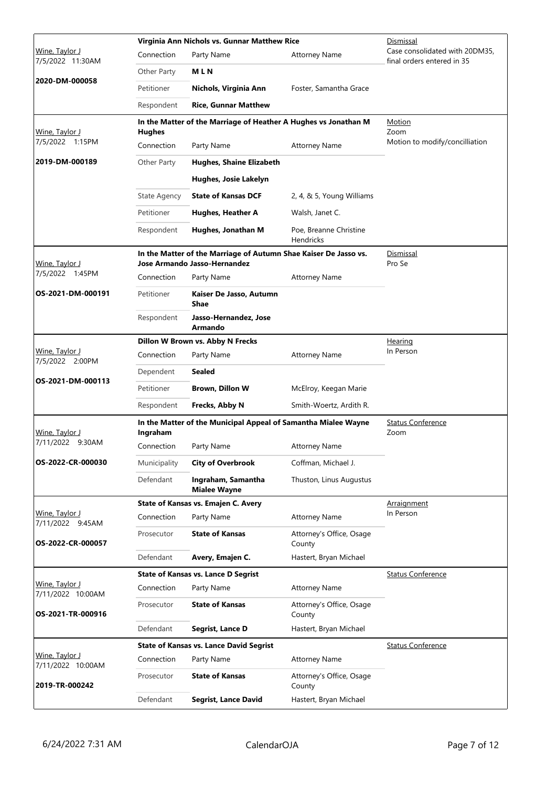|                                     |                     | Virginia Ann Nichols vs. Gunnar Matthew Rice<br>Dismissal                                        |                                            |                                                              |
|-------------------------------------|---------------------|--------------------------------------------------------------------------------------------------|--------------------------------------------|--------------------------------------------------------------|
| Wine, Taylor J<br>7/5/2022 11:30AM  | Connection          | Party Name                                                                                       | <b>Attorney Name</b>                       | Case consolidated with 20DM35,<br>final orders entered in 35 |
|                                     | Other Party         | <b>MLN</b>                                                                                       |                                            |                                                              |
| 2020-DM-000058                      | Petitioner          | Nichols, Virginia Ann                                                                            | Foster, Samantha Grace                     |                                                              |
|                                     | Respondent          | <b>Rice, Gunnar Matthew</b>                                                                      |                                            |                                                              |
| <u> Wine, Taylor J</u>              | <b>Hughes</b>       | In the Matter of the Marriage of Heather A Hughes vs Jonathan M                                  |                                            | Motion<br>Zoom                                               |
| 7/5/2022 1:15PM                     | Connection          | Party Name                                                                                       | <b>Attorney Name</b>                       | Motion to modify/concilliation                               |
| 2019-DM-000189                      | Other Party         | <b>Hughes, Shaine Elizabeth</b>                                                                  |                                            |                                                              |
|                                     |                     | Hughes, Josie Lakelyn                                                                            |                                            |                                                              |
|                                     | <b>State Agency</b> | <b>State of Kansas DCF</b>                                                                       | 2, 4, & 5, Young Williams                  |                                                              |
|                                     | Petitioner          | Hughes, Heather A                                                                                | Walsh, Janet C.                            |                                                              |
|                                     | Respondent          | Hughes, Jonathan M                                                                               | Poe, Breanne Christine<br><b>Hendricks</b> |                                                              |
| <u>Wine, Taylor J</u>               |                     | In the Matter of the Marriage of Autumn Shae Kaiser De Jasso vs.<br>Jose Armando Jasso-Hernandez |                                            | Dismissal<br>Pro Se                                          |
| 7/5/2022 1:45PM                     | Connection          | Party Name                                                                                       | <b>Attorney Name</b>                       |                                                              |
| OS-2021-DM-000191                   | Petitioner          | Kaiser De Jasso, Autumn<br><b>Shae</b>                                                           |                                            |                                                              |
|                                     | Respondent          | Jasso-Hernandez, Jose<br><b>Armando</b>                                                          |                                            |                                                              |
|                                     |                     | Dillon W Brown vs. Abby N Frecks                                                                 |                                            | Hearing                                                      |
| Wine, Taylor J<br>7/5/2022 2:00PM   | Connection          | Party Name                                                                                       | <b>Attorney Name</b>                       | In Person                                                    |
| OS-2021-DM-000113                   | Dependent           | Sealed                                                                                           |                                            |                                                              |
|                                     | Petitioner          | <b>Brown, Dillon W</b>                                                                           | McElroy, Keegan Marie                      |                                                              |
|                                     | Respondent          | Frecks, Abby N                                                                                   | Smith-Woertz, Ardith R.                    |                                                              |
| Wine, Taylor J                      | Ingraham            | In the Matter of the Municipal Appeal of Samantha Mialee Wayne                                   |                                            | <b>Status Conference</b><br>Zoom                             |
| 7/11/2022 9:30AM                    | Connection          | Party Name                                                                                       | <b>Attorney Name</b>                       |                                                              |
| OS-2022-CR-000030                   | Municipality        | <b>City of Overbrook</b>                                                                         | Coffman, Michael J.                        |                                                              |
|                                     | Defendant           | Ingraham, Samantha<br><b>Mialee Wayne</b>                                                        | Thuston, Linus Augustus                    |                                                              |
|                                     |                     | State of Kansas vs. Emajen C. Avery                                                              |                                            | Arraignment                                                  |
| Wine, Taylor J<br>7/11/2022 9:45AM  | Connection          | Party Name                                                                                       | <b>Attorney Name</b>                       | In Person                                                    |
| OS-2022-CR-000057                   | Prosecutor          | <b>State of Kansas</b>                                                                           | Attorney's Office, Osage<br>County         |                                                              |
|                                     | Defendant           | Avery, Emajen C.                                                                                 | Hastert, Bryan Michael                     |                                                              |
|                                     |                     | <b>State of Kansas vs. Lance D Segrist</b>                                                       |                                            | <b>Status Conference</b>                                     |
| Wine, Taylor J<br>7/11/2022 10:00AM | Connection          | Party Name                                                                                       | <b>Attorney Name</b>                       |                                                              |
| OS-2021-TR-000916                   | Prosecutor          | <b>State of Kansas</b>                                                                           | Attorney's Office, Osage<br>County         |                                                              |
|                                     | Defendant           | <b>Segrist, Lance D</b>                                                                          | Hastert, Bryan Michael                     |                                                              |
|                                     |                     | <b>State of Kansas vs. Lance David Segrist</b>                                                   |                                            | <b>Status Conference</b>                                     |
| Wine, Taylor J<br>7/11/2022 10:00AM | Connection          | Party Name                                                                                       | <b>Attorney Name</b>                       |                                                              |
| 2019-TR-000242                      | Prosecutor          | <b>State of Kansas</b>                                                                           | Attorney's Office, Osage<br>County         |                                                              |
|                                     | Defendant           | <b>Segrist, Lance David</b>                                                                      | Hastert, Bryan Michael                     |                                                              |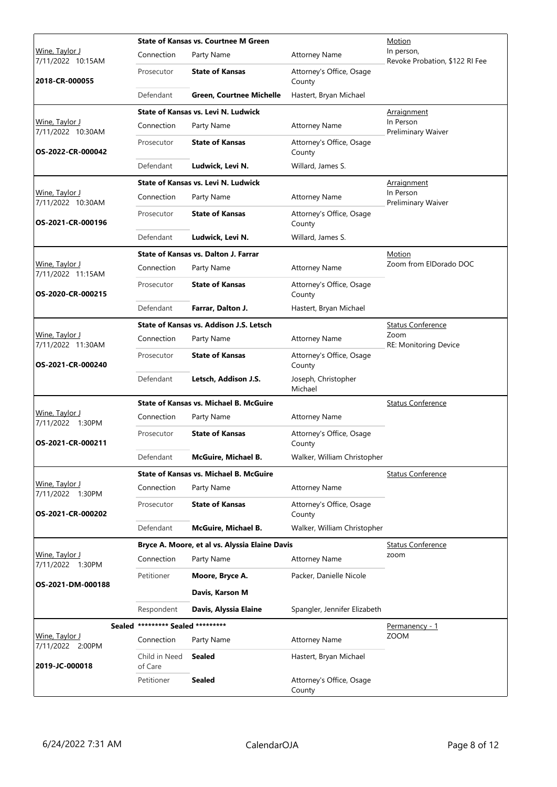|                                            | <b>State of Kansas vs. Courtnee M Green</b> |                                                |                                    | Motion                                       |
|--------------------------------------------|---------------------------------------------|------------------------------------------------|------------------------------------|----------------------------------------------|
| Wine, Taylor J<br>7/11/2022 10:15AM        | Connection                                  | Party Name                                     | <b>Attorney Name</b>               | In person,<br>Revoke Probation, \$122 RI Fee |
| 2018-CR-000055                             | Prosecutor                                  | <b>State of Kansas</b>                         | Attorney's Office, Osage<br>County |                                              |
|                                            | Defendant                                   | <b>Green, Courtnee Michelle</b>                | Hastert, Bryan Michael             |                                              |
|                                            |                                             | <b>State of Kansas vs. Levi N. Ludwick</b>     |                                    | Arraignment                                  |
| Wine, Taylor J<br>7/11/2022 10:30AM        | Connection                                  | Party Name                                     | <b>Attorney Name</b>               | In Person<br>Preliminary Waiver              |
| OS-2022-CR-000042                          | Prosecutor                                  | <b>State of Kansas</b>                         | Attorney's Office, Osage<br>County |                                              |
|                                            | Defendant                                   | Ludwick, Levi N.                               | Willard, James S.                  |                                              |
|                                            |                                             | <b>State of Kansas vs. Levi N. Ludwick</b>     |                                    | <b>Arraignment</b>                           |
| Wine, Taylor J<br>7/11/2022 10:30AM        | Connection                                  | Party Name                                     | <b>Attorney Name</b>               | In Person<br>Preliminary Waiver              |
| OS-2021-CR-000196                          | Prosecutor                                  | <b>State of Kansas</b>                         | Attorney's Office, Osage<br>County |                                              |
|                                            | Defendant                                   | Ludwick, Levi N.                               | Willard, James S.                  |                                              |
|                                            |                                             | State of Kansas vs. Dalton J. Farrar           |                                    | Motion                                       |
| Wine, Taylor J<br>7/11/2022 11:15AM        | Connection                                  | Party Name                                     | <b>Attorney Name</b>               | Zoom from ElDorado DOC                       |
| OS-2020-CR-000215                          | Prosecutor                                  | <b>State of Kansas</b>                         | Attorney's Office, Osage<br>County |                                              |
|                                            | Defendant                                   | Farrar, Dalton J.                              | Hastert, Bryan Michael             |                                              |
|                                            |                                             | State of Kansas vs. Addison J.S. Letsch        |                                    | <b>Status Conference</b>                     |
| Wine, Taylor J<br>7/11/2022 11:30AM        | Connection                                  | Party Name                                     | <b>Attorney Name</b>               | Zoom<br>RE: Monitoring Device                |
| OS-2021-CR-000240                          | Prosecutor                                  | <b>State of Kansas</b>                         | Attorney's Office, Osage<br>County |                                              |
|                                            | Defendant                                   | Letsch, Addison J.S.                           | Joseph, Christopher<br>Michael     |                                              |
|                                            |                                             | <b>State of Kansas vs. Michael B. McGuire</b>  |                                    | <b>Status Conference</b>                     |
| Wine, Taylor J<br>7/11/2022 1:30PM         | Connection                                  | Party Name                                     | <b>Attorney Name</b>               |                                              |
| OS-2021-CR-000211                          | Prosecutor                                  | <b>State of Kansas</b>                         | Attorney's Office, Osage<br>County |                                              |
|                                            | Defendant                                   | McGuire, Michael B.                            | Walker, William Christopher        |                                              |
|                                            |                                             | <b>State of Kansas vs. Michael B. McGuire</b>  |                                    | <b>Status Conference</b>                     |
| Wine, Taylor J<br>7/11/2022 1:30PM         | Connection                                  | Party Name                                     | <b>Attorney Name</b>               |                                              |
| OS-2021-CR-000202                          | Prosecutor                                  | <b>State of Kansas</b>                         | Attorney's Office, Osage<br>County |                                              |
|                                            | Defendant                                   | McGuire, Michael B.                            | Walker, William Christopher        |                                              |
|                                            |                                             | Bryce A. Moore, et al vs. Alyssia Elaine Davis |                                    | <b>Status Conference</b>                     |
| Wine, Taylor J<br>7/11/2022 1:30PM         | Connection                                  | Party Name                                     | <b>Attorney Name</b>               | zoom                                         |
|                                            | Petitioner                                  | Moore, Bryce A.                                | Packer, Danielle Nicole            |                                              |
| OS-2021-DM-000188                          |                                             | Davis, Karson M                                |                                    |                                              |
|                                            | Respondent                                  | Davis, Alyssia Elaine                          | Spangler, Jennifer Elizabeth       |                                              |
|                                            | Sealed ********* Sealed *********           |                                                |                                    | <u>Permanency - 1</u>                        |
| <u> Wine, Taylor J</u><br>7/11/2022 2:00PM | Connection                                  | Party Name                                     | <b>Attorney Name</b>               | <b>ZOOM</b>                                  |
| 2019-JC-000018                             | Child in Need<br>of Care                    | <b>Sealed</b>                                  | Hastert, Bryan Michael             |                                              |
|                                            | Petitioner                                  | <b>Sealed</b>                                  | Attorney's Office, Osage<br>County |                                              |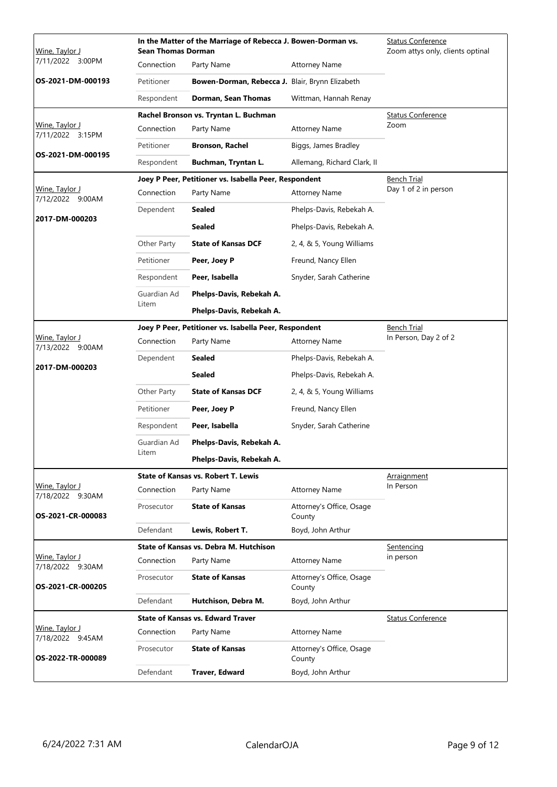| Wine, Taylor J                            | In the Matter of the Marriage of Rebecca J. Bowen-Dorman vs.<br><b>Sean Thomas Dorman</b> |                                                       |                                    | <b>Status Conference</b><br>Zoom attys only, clients optinal |
|-------------------------------------------|-------------------------------------------------------------------------------------------|-------------------------------------------------------|------------------------------------|--------------------------------------------------------------|
| 7/11/2022 3:00PM                          | Connection                                                                                | Party Name                                            | <b>Attorney Name</b>               |                                                              |
| OS-2021-DM-000193                         | Petitioner                                                                                | Bowen-Dorman, Rebecca J. Blair, Brynn Elizabeth       |                                    |                                                              |
|                                           | Respondent                                                                                | Dorman, Sean Thomas                                   | Wittman, Hannah Renay              |                                                              |
|                                           |                                                                                           | Rachel Bronson vs. Tryntan L. Buchman                 |                                    | <b>Status Conference</b>                                     |
| <u>Wine, Taylor J</u><br>7/11/2022 3:15PM | Connection                                                                                | Party Name                                            | <b>Attorney Name</b>               | Zoom                                                         |
|                                           | Petitioner                                                                                | <b>Bronson, Rachel</b>                                | Biggs, James Bradley               |                                                              |
| OS-2021-DM-000195                         | Respondent                                                                                | Buchman, Tryntan L.                                   | Allemang, Richard Clark, II        |                                                              |
|                                           |                                                                                           | Joey P Peer, Petitioner vs. Isabella Peer, Respondent |                                    | <b>Bench Trial</b>                                           |
| Wine, Taylor J<br>7/12/2022 9:00AM        | Connection                                                                                | Party Name                                            | <b>Attorney Name</b>               | Day 1 of 2 in person                                         |
|                                           | Dependent                                                                                 | <b>Sealed</b>                                         | Phelps-Davis, Rebekah A.           |                                                              |
| 2017-DM-000203                            |                                                                                           | <b>Sealed</b>                                         | Phelps-Davis, Rebekah A.           |                                                              |
|                                           | Other Party                                                                               | <b>State of Kansas DCF</b>                            | 2, 4, & 5, Young Williams          |                                                              |
|                                           | Petitioner                                                                                | Peer, Joey P                                          | Freund, Nancy Ellen                |                                                              |
|                                           | Respondent                                                                                | Peer, Isabella                                        | Snyder, Sarah Catherine            |                                                              |
|                                           | Guardian Ad                                                                               | Phelps-Davis, Rebekah A.                              |                                    |                                                              |
|                                           | Litem                                                                                     | Phelps-Davis, Rebekah A.                              |                                    |                                                              |
|                                           |                                                                                           | Joey P Peer, Petitioner vs. Isabella Peer, Respondent |                                    | <b>Bench Trial</b>                                           |
| <u>Wine, Taylor J</u><br>7/13/2022 9:00AM | Connection                                                                                | Party Name                                            | <b>Attorney Name</b>               | In Person, Day 2 of 2                                        |
| 2017-DM-000203                            | Dependent                                                                                 | Sealed                                                | Phelps-Davis, Rebekah A.           |                                                              |
|                                           |                                                                                           | <b>Sealed</b>                                         | Phelps-Davis, Rebekah A.           |                                                              |
|                                           | Other Party                                                                               | <b>State of Kansas DCF</b>                            | 2, 4, & 5, Young Williams          |                                                              |
|                                           | Petitioner                                                                                | Peer, Joey P                                          | Freund, Nancy Ellen                |                                                              |
|                                           | Respondent                                                                                | Peer, Isabella                                        | Snyder, Sarah Catherine            |                                                              |
|                                           | Guardian Ad                                                                               | Phelps-Davis, Rebekah A.                              |                                    |                                                              |
|                                           | Litem                                                                                     | Phelps-Davis, Rebekah A.                              |                                    |                                                              |
|                                           |                                                                                           | <b>State of Kansas vs. Robert T. Lewis</b>            |                                    | Arraignment                                                  |
| Wine, Taylor J<br>7/18/2022 9:30AM        | Connection                                                                                | Party Name                                            | <b>Attorney Name</b>               | In Person                                                    |
| OS-2021-CR-000083                         | Prosecutor                                                                                | <b>State of Kansas</b>                                | Attorney's Office, Osage<br>County |                                                              |
|                                           | Defendant                                                                                 | Lewis, Robert T.                                      | Boyd, John Arthur                  |                                                              |
|                                           |                                                                                           | State of Kansas vs. Debra M. Hutchison                |                                    | Sentencing                                                   |
| Wine, Taylor J<br>7/18/2022 9:30AM        | Connection                                                                                | Party Name                                            | <b>Attorney Name</b>               | in person                                                    |
| OS-2021-CR-000205                         | Prosecutor                                                                                | <b>State of Kansas</b>                                | Attorney's Office, Osage<br>County |                                                              |
|                                           | Defendant                                                                                 | Hutchison, Debra M.                                   | Boyd, John Arthur                  |                                                              |
|                                           |                                                                                           | <b>State of Kansas vs. Edward Traver</b>              |                                    | <b>Status Conference</b>                                     |
| Wine, Taylor J<br>7/18/2022 9:45AM        | Connection                                                                                | Party Name                                            | <b>Attorney Name</b>               |                                                              |
| OS-2022-TR-000089                         | Prosecutor                                                                                | <b>State of Kansas</b>                                | Attorney's Office, Osage<br>County |                                                              |
|                                           | Defendant                                                                                 | <b>Traver, Edward</b>                                 | Boyd, John Arthur                  |                                                              |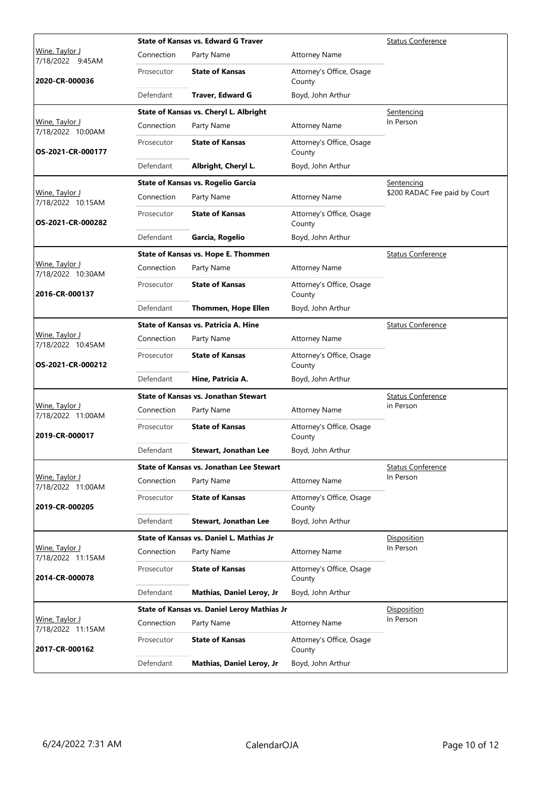|                                             |            | <b>State of Kansas vs. Edward G Traver</b>      | <b>Status Conference</b>           |                               |
|---------------------------------------------|------------|-------------------------------------------------|------------------------------------|-------------------------------|
| <u>Wine, Taylor J</u><br>7/18/2022 9:45AM   | Connection | Party Name                                      | <b>Attorney Name</b>               |                               |
| 2020-CR-000036                              | Prosecutor | <b>State of Kansas</b>                          | Attorney's Office, Osage<br>County |                               |
|                                             | Defendant  | Traver, Edward G                                | Boyd, John Arthur                  |                               |
|                                             |            | State of Kansas vs. Cheryl L. Albright          |                                    | Sentencing                    |
| Wine, Taylor J<br>7/18/2022 10:00AM         | Connection | Party Name                                      | <b>Attorney Name</b>               | In Person                     |
| OS-2021-CR-000177                           | Prosecutor | <b>State of Kansas</b>                          | Attorney's Office, Osage<br>County |                               |
|                                             | Defendant  | Albright, Cheryl L.                             | Boyd, John Arthur                  |                               |
|                                             |            | State of Kansas vs. Rogelio Garcia              |                                    | Sentencing                    |
| Wine, Taylor J<br>7/18/2022 10:15AM         | Connection | Party Name                                      | <b>Attorney Name</b>               | \$200 RADAC Fee paid by Court |
| OS-2021-CR-000282                           | Prosecutor | <b>State of Kansas</b>                          | Attorney's Office, Osage<br>County |                               |
|                                             | Defendant  | Garcia, Rogelio                                 | Boyd, John Arthur                  |                               |
|                                             |            | State of Kansas vs. Hope E. Thommen             |                                    | <b>Status Conference</b>      |
| Wine, Taylor J<br>7/18/2022 10:30AM         | Connection | Party Name                                      | <b>Attorney Name</b>               |                               |
| 2016-CR-000137                              | Prosecutor | <b>State of Kansas</b>                          | Attorney's Office, Osage<br>County |                               |
|                                             | Defendant  | <b>Thommen, Hope Ellen</b>                      | Boyd, John Arthur                  |                               |
|                                             |            | State of Kansas vs. Patricia A. Hine            |                                    | <b>Status Conference</b>      |
| Wine, Taylor J<br>7/18/2022 10:45AM         | Connection | Party Name                                      | <b>Attorney Name</b>               |                               |
| OS-2021-CR-000212                           | Prosecutor | <b>State of Kansas</b>                          | Attorney's Office, Osage<br>County |                               |
|                                             | Defendant  | Hine, Patricia A.                               | Boyd, John Arthur                  |                               |
|                                             |            | <b>State of Kansas vs. Jonathan Stewart</b>     |                                    | <b>Status Conference</b>      |
| Wine, Taylor J<br>7/18/2022 11:00AM         | Connection | Party Name                                      | <b>Attorney Name</b>               | in Person                     |
| 2019-CR-000017                              | Prosecutor | <b>State of Kansas</b>                          | Attorney's Office, Osage<br>County |                               |
|                                             | Defendant  | Stewart, Jonathan Lee                           | Boyd, John Arthur                  |                               |
|                                             |            | <b>State of Kansas vs. Jonathan Lee Stewart</b> |                                    | <b>Status Conference</b>      |
| <u> Wine, Taylor J</u><br>7/18/2022 11:00AM | Connection | Party Name                                      | <b>Attorney Name</b>               | In Person                     |
| 2019-CR-000205                              | Prosecutor | <b>State of Kansas</b>                          | Attorney's Office, Osage<br>County |                               |
|                                             | Defendant  | Stewart, Jonathan Lee                           | Boyd, John Arthur                  |                               |
|                                             |            | State of Kansas vs. Daniel L. Mathias Jr        |                                    | Disposition                   |
| Wine, Taylor J<br>7/18/2022 11:15AM         | Connection | Party Name                                      | <b>Attorney Name</b>               | In Person                     |
| 2014-CR-000078                              | Prosecutor | <b>State of Kansas</b>                          | Attorney's Office, Osage<br>County |                               |
|                                             | Defendant  | <b>Mathias, Daniel Leroy, Jr</b>                | Boyd, John Arthur                  |                               |
|                                             |            | State of Kansas vs. Daniel Leroy Mathias Jr     |                                    | <b>Disposition</b>            |
| Wine, Taylor J<br>7/18/2022 11:15AM         | Connection | Party Name                                      | <b>Attorney Name</b>               | In Person                     |
| 2017-CR-000162                              | Prosecutor | <b>State of Kansas</b>                          | Attorney's Office, Osage<br>County |                               |
|                                             | Defendant  | Mathias, Daniel Leroy, Jr                       | Boyd, John Arthur                  |                               |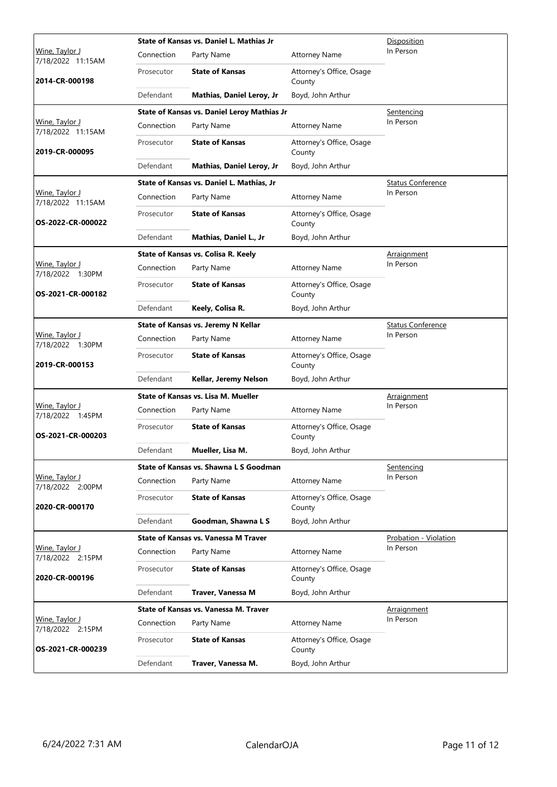|                                            |            | State of Kansas vs. Daniel L. Mathias Jr    | Disposition                        |                          |
|--------------------------------------------|------------|---------------------------------------------|------------------------------------|--------------------------|
| Wine, Taylor J<br>7/18/2022 11:15AM        | Connection | Party Name                                  | <b>Attorney Name</b>               | In Person                |
| 2014-CR-000198                             | Prosecutor | <b>State of Kansas</b>                      | Attorney's Office, Osage<br>County |                          |
|                                            | Defendant  | <b>Mathias, Daniel Leroy, Jr</b>            | Boyd, John Arthur                  |                          |
|                                            |            | State of Kansas vs. Daniel Leroy Mathias Jr |                                    | Sentencing               |
| Wine, Taylor J<br>7/18/2022 11:15AM        | Connection | Party Name                                  | <b>Attorney Name</b>               | In Person                |
| 2019-CR-000095                             | Prosecutor | <b>State of Kansas</b>                      | Attorney's Office, Osage<br>County |                          |
|                                            | Defendant  | Mathias, Daniel Leroy, Jr                   | Boyd, John Arthur                  |                          |
|                                            |            | State of Kansas vs. Daniel L. Mathias, Jr   |                                    | <b>Status Conference</b> |
| Wine, Taylor J<br>7/18/2022 11:15AM        | Connection | Party Name                                  | <b>Attorney Name</b>               | In Person                |
| OS-2022-CR-000022                          | Prosecutor | <b>State of Kansas</b>                      | Attorney's Office, Osage<br>County |                          |
|                                            | Defendant  | Mathias, Daniel L., Jr                      | Boyd, John Arthur                  |                          |
|                                            |            | State of Kansas vs. Colisa R. Keely         |                                    | Arraignment              |
| Wine, Taylor J<br>7/18/2022 1:30PM         | Connection | Party Name                                  | <b>Attorney Name</b>               | In Person                |
| OS-2021-CR-000182                          | Prosecutor | <b>State of Kansas</b>                      | Attorney's Office, Osage<br>County |                          |
|                                            | Defendant  | Keely, Colisa R.                            | Boyd, John Arthur                  |                          |
|                                            |            | State of Kansas vs. Jeremy N Kellar         |                                    | <b>Status Conference</b> |
| Wine, Taylor J<br>7/18/2022 1:30PM         | Connection | Party Name                                  | <b>Attorney Name</b>               | In Person                |
| 2019-CR-000153                             | Prosecutor | <b>State of Kansas</b>                      | Attorney's Office, Osage<br>County |                          |
|                                            | Defendant  | Kellar, Jeremy Nelson                       | Boyd, John Arthur                  |                          |
|                                            |            | State of Kansas vs. Lisa M. Mueller         | <u>Arraignment</u>                 |                          |
| Wine, Taylor J<br>7/18/2022 1:45PM         | Connection | Party Name                                  | <b>Attorney Name</b>               | In Person                |
| OS-2021-CR-000203                          | Prosecutor | <b>State of Kansas</b>                      | Attorney's Office, Osage<br>County |                          |
|                                            | Defendant  | Mueller, Lisa M.                            | Boyd, John Arthur                  |                          |
|                                            |            | State of Kansas vs. Shawna L S Goodman      |                                    | Sentencing               |
| <u> Wine, Taylor J</u><br>7/18/2022 2:00PM | Connection | Party Name                                  | <b>Attorney Name</b>               | In Person                |
| 2020-CR-000170                             | Prosecutor | <b>State of Kansas</b>                      | Attorney's Office, Osage<br>County |                          |
|                                            | Defendant  | Goodman, Shawna L S                         | Boyd, John Arthur                  |                          |
|                                            |            | <b>State of Kansas vs. Vanessa M Traver</b> |                                    | Probation - Violation    |
| Wine, Taylor J<br>7/18/2022 2:15PM         | Connection | Party Name                                  | <b>Attorney Name</b>               | In Person                |
| 2020-CR-000196                             | Prosecutor | <b>State of Kansas</b>                      | Attorney's Office, Osage<br>County |                          |
|                                            | Defendant  | Traver, Vanessa M                           | Boyd, John Arthur                  |                          |
|                                            |            | State of Kansas vs. Vanessa M. Traver       |                                    | Arraignment              |
| Wine, Taylor J<br>7/18/2022 2:15PM         | Connection | Party Name                                  | <b>Attorney Name</b>               | In Person                |
| OS-2021-CR-000239                          | Prosecutor | <b>State of Kansas</b>                      | Attorney's Office, Osage<br>County |                          |
|                                            | Defendant  | Traver, Vanessa M.                          | Boyd, John Arthur                  |                          |